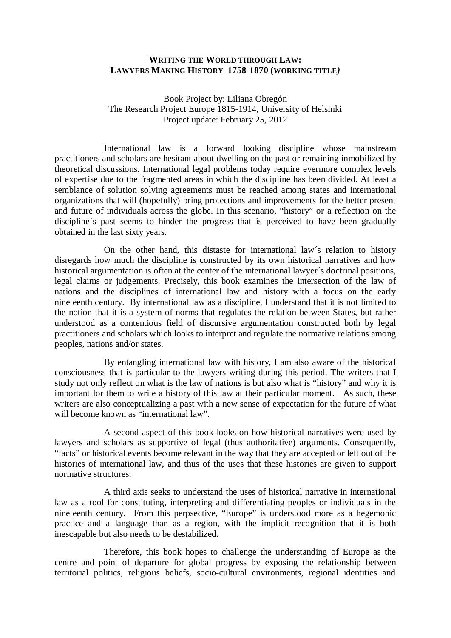## **WRITING THE WORLD THROUGH LAW: LAWYERS MAKING HISTORY 1758-1870 (WORKING TITLE***)*

Book Project by: Liliana Obregón The Research Project Europe 1815-1914, University of Helsinki Project update: February 25, 2012

International law is a forward looking discipline whose mainstream practitioners and scholars are hesitant about dwelling on the past or remaining inmobilized by theoretical discussions. International legal problems today require evermore complex levels of expertise due to the fragmented areas in which the discipline has been divided. At least a semblance of solution solving agreements must be reached among states and international organizations that will (hopefully) bring protections and improvements for the better present and future of individuals across the globe. In this scenario, "history" or a reflection on the discipline's past seems to hinder the progress that is perceived to have been gradually obtained in the last sixty years.

On the other hand, this distaste for international law´s relation to history disregards how much the discipline is constructed by its own historical narratives and how historical argumentation is often at the center of the international lawyer´s doctrinal positions, legal claims or judgements. Precisely, this book examines the intersection of the law of nations and the disciplines of international law and history with a focus on the early nineteenth century. By international law as a discipline, I understand that it is not limited to the notion that it is a system of norms that regulates the relation between States, but rather understood as a contentious field of discursive argumentation constructed both by legal practitioners and scholars which looks to interpret and regulate the normative relations among peoples, nations and/or states.

By entangling international law with history, I am also aware of the historical consciousness that is particular to the lawyers writing during this period. The writers that I study not only reflect on what is the law of nations is but also what is "history" and why it is important for them to write a history of this law at their particular moment. As such, these writers are also conceptualizing a past with a new sense of expectation for the future of what will become known as "international law".

A second aspect of this book looks on how historical narratives were used by lawyers and scholars as supportive of legal (thus authoritative) arguments. Consequently, "facts" or historical events become relevant in the way that they are accepted or left out of the histories of international law, and thus of the uses that these histories are given to support normative structures.

A third axis seeks to understand the uses of historical narrative in international law as a tool for constituting, interpreting and differentiating peoples or individuals in the nineteenth century. From this perpsective, "Europe" is understood more as a hegemonic practice and a language than as a region, with the implicit recognition that it is both inescapable but also needs to be destabilized.

Therefore, this book hopes to challenge the understanding of Europe as the centre and point of departure for global progress by exposing the relationship between territorial politics, religious beliefs, socio-cultural environments, regional identities and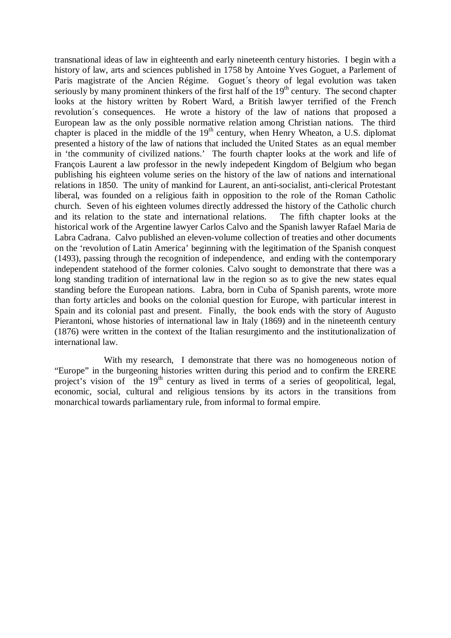transnational ideas of law in eighteenth and early nineteenth century histories. I begin with a history of law, arts and sciences published in 1758 by Antoine Yves Goguet, a Parlement of Paris magistrate of the Ancien Régime. Goguet´s theory of legal evolution was taken seriously by many prominent thinkers of the first half of the  $19<sup>th</sup>$  century. The second chapter looks at the history written by Robert Ward, a British lawyer terrified of the French revolution´s consequences. He wrote a history of the law of nations that proposed a European law as the only possible normative relation among Christian nations. The third chapter is placed in the middle of the  $19<sup>th</sup>$  century, when Henry Wheaton, a U.S. diplomat presented a history of the law of nations that included the United States as an equal member in 'the community of civilized nations.' The fourth chapter looks at the work and life of François Laurent a law professor in the newly indepedent Kingdom of Belgium who began publishing his eighteen volume series on the history of the law of nations and international relations in 1850. The unity of mankind for Laurent, an anti-socialist, anti-clerical Protestant liberal, was founded on a religious faith in opposition to the role of the Roman Catholic church. Seven of his eighteen volumes directly addressed the history of the Catholic church and its relation to the state and international relations. The fifth chapter looks at the historical work of the Argentine lawyer Carlos Calvo and the Spanish lawyer Rafael Maria de Labra Cadrana. Calvo published an eleven-volume collection of treaties and other documents on the 'revolution of Latin America' beginning with the legitimation of the Spanish conquest (1493), passing through the recognition of independence, and ending with the contemporary independent statehood of the former colonies. Calvo sought to demonstrate that there was a long standing tradition of international law in the region so as to give the new states equal standing before the European nations. Labra, born in Cuba of Spanish parents, wrote more than forty articles and books on the colonial question for Europe, with particular interest in Spain and its colonial past and present. Finally, the book ends with the story of Augusto Pierantoni, whose histories of international law in Italy (1869) and in the nineteenth century (1876) were written in the context of the Italian resurgimento and the institutionalization of international law.

With my research, I demonstrate that there was no homogeneous notion of "Europe" in the burgeoning histories written during this period and to confirm the ERERE project's vision of the  $19<sup>th</sup>$  century as lived in terms of a series of geopolitical, legal, economic, social, cultural and religious tensions by its actors in the transitions from monarchical towards parliamentary rule, from informal to formal empire.